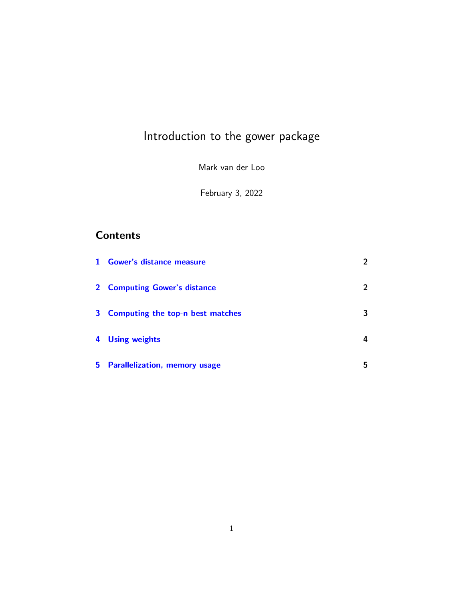# Introduction to the gower package

Mark van der Loo

February 3, 2022

## **Contents**

|                         | 1 Gower's distance measure           | $\overline{2}$ |
|-------------------------|--------------------------------------|----------------|
|                         | 2 Computing Gower's distance         | 2              |
|                         | 3 Computing the top-n best matches   | 3              |
| $\overline{\mathbf{4}}$ | <b>Using weights</b>                 | 4              |
| 5.                      | <b>Parallelization, memory usage</b> | 5              |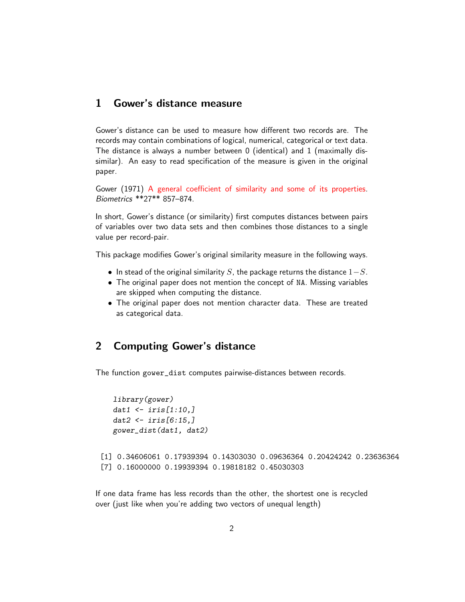#### <span id="page-1-0"></span>1 Gower's distance measure

Gower's distance can be used to measure how different two records are. The records may contain combinations of logical, numerical, categorical or text data. The distance is always a number between 0 (identical) and 1 (maximally dissimilar). An easy to read specification of the measure is given in the original paper.

Gower (1971) [A general coefficient of similarity and some of its properties.](http://citeseerx.ist.psu.edu/viewdoc/download?doi=10.1.1.412.4155&rep=rep1&type=pdf) Biometrics \*\*27\*\* 857–874.

In short, Gower's distance (or similarity) first computes distances between pairs of variables over two data sets and then combines those distances to a single value per record-pair.

This package modifies Gower's original similarity measure in the following ways.

- In stead of the original similarity S, the package returns the distance  $1-S$ .
- The original paper does not mention the concept of NA. Missing variables are skipped when computing the distance.
- The original paper does not mention character data. These are treated as categorical data.

## <span id="page-1-1"></span>2 Computing Gower's distance

The function gower\_dist computes pairwise-distances between records.

```
library(gower)
   dat1 <- iris[1:10,]
   dat2 \leftarrow \text{iris}[6:15.]gower_dist(dat1, dat2)
[1] 0.34606061 0.17939394 0.14303030 0.09636364 0.20424242 0.23636364
[7] 0.16000000 0.19939394 0.19818182 0.45030303
```
If one data frame has less records than the other, the shortest one is recycled over (just like when you're adding two vectors of unequal length)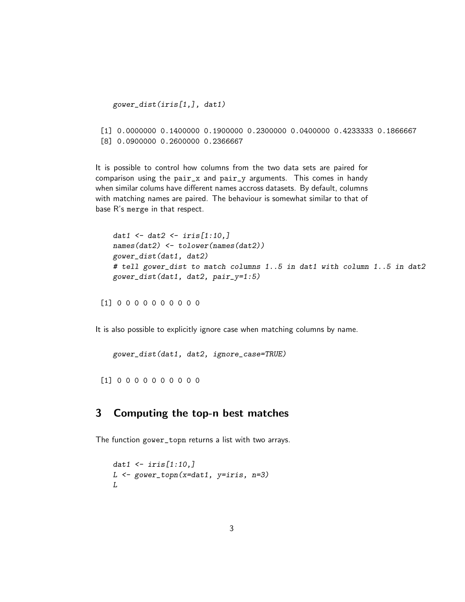gower\_dist(iris[1,], dat1)

```
[1] 0.0000000 0.1400000 0.1900000 0.2300000 0.0400000 0.4233333 0.1866667
[8] 0.0900000 0.2600000 0.2366667
```
It is possible to control how columns from the two data sets are paired for comparison using the pair\_x and pair\_y arguments. This comes in handy when similar colums have different names accross datasets. By default, columns with matching names are paired. The behaviour is somewhat similar to that of base R's merge in that respect.

```
dat1 \leftarrow dat2 \leftarrow iris[1:10,]
names(dat2) <- tolower(names(dat2))
gower_dist(dat1, dat2)
# tell gower_dist to match columns 1..5 in dat1 with column 1..5 in dat2
gower_dist(dat1, dat2, pair_y=1:5)
```
[1] 0 0 0 0 0 0 0 0 0 0

It is also possible to explicitly ignore case when matching columns by name.

gower\_dist(dat1, dat2, ignore\_case=TRUE)

[1] 0 0 0 0 0 0 0 0 0 0

## <span id="page-2-0"></span>3 Computing the top-n best matches

The function gower\_topn returns a list with two arrays.

```
dat1 \leftarrow \{ \text{iris}[1:10, ] \}L \leftarrow govern\_top(x=dat1, y=iris, n=3)L
```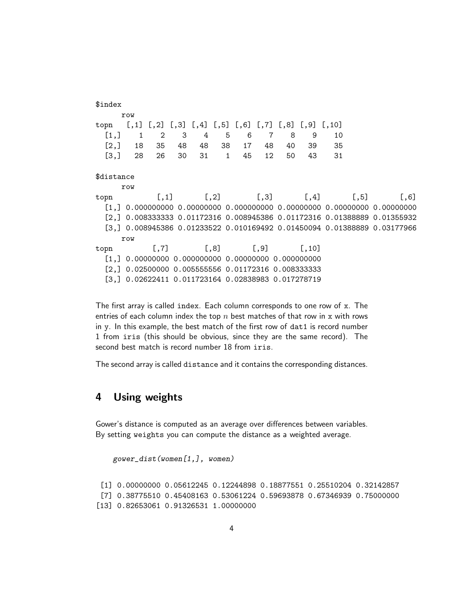```
$index
    row
topn [,1] [,2] [,3] [,4] [,5] [,6] [,7] [,8] [,9] [,10]
 [1,] 1 2 3 4 5 6 7 8 9 10
 [2,] 18 35 48 48 38 17 48 40 39 35
 [3,] 28 26 30 31 1 45 12 50 43 31
$distance
    row
topn [,1] [,2] [,3] [,4] [,5] [,6]
 [1,] 0.000000000 0.00000000 0.000000000 0.00000000 0.00000000 0.00000000
 [2,] 0.008333333 0.01172316 0.008945386 0.01172316 0.01388889 0.01355932
 [3,] 0.008945386 0.01233522 0.010169492 0.01450094 0.01388889 0.03177966
    row
topn [,7] [,8] [,9] [,10]
 [1,] 0.00000000 0.000000000 0.00000000 0.000000000
 [2,] 0.02500000 0.005555556 0.01172316 0.008333333
 [3,] 0.02622411 0.011723164 0.02838983 0.017278719
```
The first array is called index. Each column corresponds to one row of x. The entries of each column index the top  $n$  best matches of that row in x with rows in y. In this example, the best match of the first row of dat1 is record number 1 from iris (this should be obvious, since they are the same record). The second best match is record number 18 from iris.

The second array is called distance and it contains the corresponding distances.

### <span id="page-3-0"></span>4 Using weights

Gower's distance is computed as an average over differences between variables. By setting weights you can compute the distance as a weighted average.

```
gower_dist(women[1,], women)
 [1] 0.00000000 0.05612245 0.12244898 0.18877551 0.25510204 0.32142857
 [7] 0.38775510 0.45408163 0.53061224 0.59693878 0.67346939 0.75000000
[13] 0.82653061 0.91326531 1.00000000
```